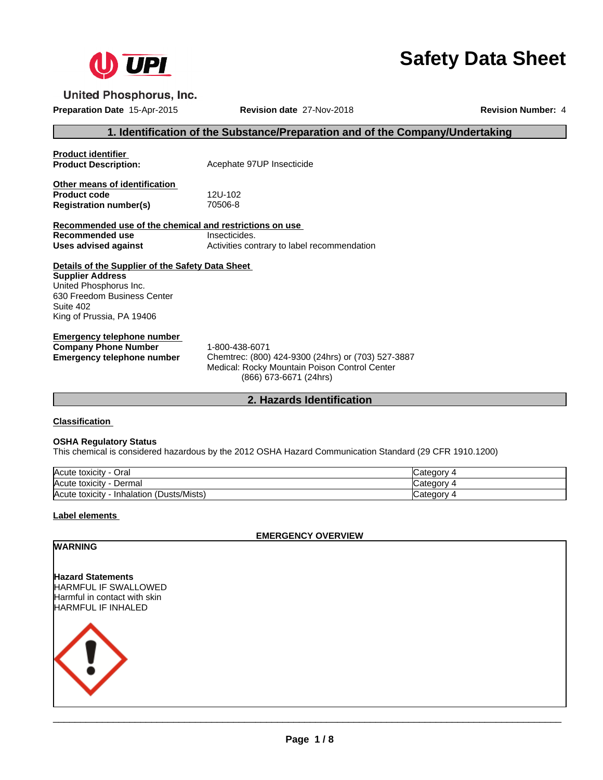

# **Safety Data Sheet**

**United Phosphorus, Inc.** 

**Preparation Date** 15-Apr-2015 **Revision date** 27-Nov-2018 **Revision Number:** 4

# **1. Identification of the Substance/Preparation and of the Company/Undertaking**

| <b>Product identifier</b><br><b>Product Description:</b>                                                                                                                       | Acephate 97UP Insecticide                                                                                                                       |
|--------------------------------------------------------------------------------------------------------------------------------------------------------------------------------|-------------------------------------------------------------------------------------------------------------------------------------------------|
| Other means of identification                                                                                                                                                  |                                                                                                                                                 |
| <b>Product code</b>                                                                                                                                                            | 12U-102                                                                                                                                         |
| <b>Registration number(s)</b>                                                                                                                                                  | 70506-8                                                                                                                                         |
| Recommended use of the chemical and restrictions on use                                                                                                                        |                                                                                                                                                 |
| Recommended use                                                                                                                                                                | Insecticides.                                                                                                                                   |
| Uses advised against                                                                                                                                                           | Activities contrary to label recommendation                                                                                                     |
| Details of the Supplier of the Safety Data Sheet<br><b>Supplier Address</b><br>United Phosphorus Inc.<br>630 Freedom Business Center<br>Suite 402<br>King of Prussia, PA 19406 |                                                                                                                                                 |
| Emergency telephone number<br><b>Company Phone Number</b><br>Emergency telephone number                                                                                        | 1-800-438-6071<br>Chemtrec: (800) 424-9300 (24hrs) or (703) 527-3887<br>Medical: Rocky Mountain Poison Control Center<br>(866) 673-6671 (24hrs) |

#### **2. Hazards Identification**

#### **Classification**

#### **OSHA Regulatory Status**

This chemical is considered hazardous by the 2012 OSHA Hazard Communication Standard (29 CFR 1910.1200)

| Acute toxicity<br>Oral                        | ∩∩r<br>ּי<br>ludicuu. |
|-----------------------------------------------|-----------------------|
| Acute toxicity<br>Dermal                      | ּי<br>Ivalcu          |
| (Dusts/Mists)<br>Acute toxicity<br>Inhalation | ICategorv             |

#### **Label elements**

**EMERGENCY OVERVIEW**

#### **WARNING**

**Hazard Statements** HARMFUL IF SWALLOWED Harmful in contact with skin HARMFUL IF INHALED

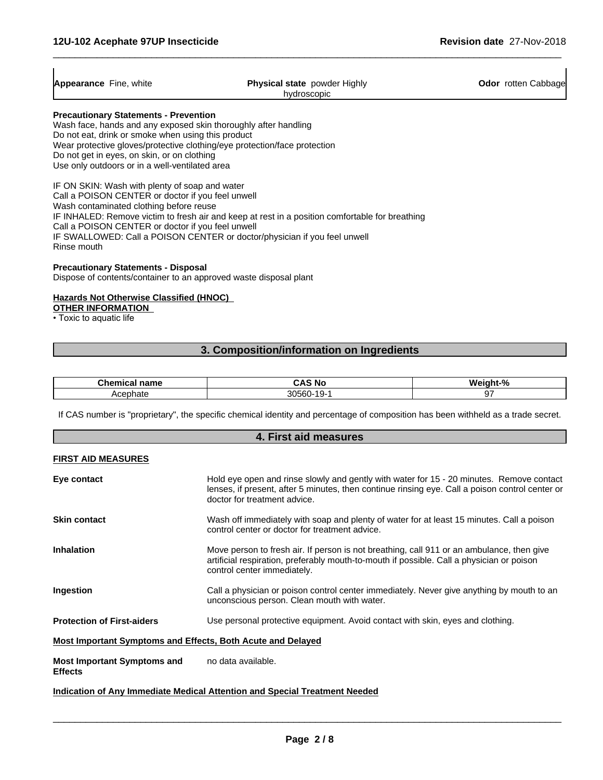$\overline{1}$ 

 $\overline{\phantom{a}}$ 

| <b>Appearance</b> Fine, white                                   | <b>Physical state</b> powder Highly | <b>Odor</b> rotten Cabbage |
|-----------------------------------------------------------------|-------------------------------------|----------------------------|
|                                                                 | hydroscopic                         |                            |
| <b>Precautionary Statements - Prevention</b>                    |                                     |                            |
| Wash face, hands and any exposed skin thoroughly after handling |                                     |                            |
| Do not eat, drink or smoke when using this product              |                                     |                            |

 $\overline{\phantom{a}}$  ,  $\overline{\phantom{a}}$  ,  $\overline{\phantom{a}}$  ,  $\overline{\phantom{a}}$  ,  $\overline{\phantom{a}}$  ,  $\overline{\phantom{a}}$  ,  $\overline{\phantom{a}}$  ,  $\overline{\phantom{a}}$  ,  $\overline{\phantom{a}}$  ,  $\overline{\phantom{a}}$  ,  $\overline{\phantom{a}}$  ,  $\overline{\phantom{a}}$  ,  $\overline{\phantom{a}}$  ,  $\overline{\phantom{a}}$  ,  $\overline{\phantom{a}}$  ,  $\overline{\phantom{a}}$ 

Wear protective gloves/protective clothing/eye protection/face protection

Do not get in eyes, on skin, or on clothing

Use only outdoors or in a well-ventilated area

IF ON SKIN: Wash with plenty of soap and water Call a POISON CENTER or doctor if you feel unwell Wash contaminated clothing before reuse IF INHALED: Remove victim to fresh air and keep at rest in a position comfortable for breathing Call a POISON CENTER or doctor if you feel unwell IF SWALLOWED: Call a POISON CENTER or doctor/physician if you feel unwell Rinse mouth

#### **Precautionary Statements - Disposal**

Dispose of contents/container to an approved waste disposal plant

#### **Hazards Not Otherwise Classified (HNOC)**

**OTHER INFORMATION**

• Toxic to aquatic life

### **3. Composition/information on Ingredients**

| <b>Chami</b><br>name | CAS<br>, Nc                     | ำınhı ∙<br>. . |
|----------------------|---------------------------------|----------------|
| Acephate             | 30560-<br>ч-<br>$\cdot$ $\cdot$ |                |

If CAS number is "proprietary", the specific chemical identity and percentage of composition has been withheld as a trade secret.

| 4. First aid measures                                       |                                                                                                                                                                                                                             |  |
|-------------------------------------------------------------|-----------------------------------------------------------------------------------------------------------------------------------------------------------------------------------------------------------------------------|--|
| <b>FIRST AID MEASURES</b>                                   |                                                                                                                                                                                                                             |  |
| Eye contact                                                 | Hold eye open and rinse slowly and gently with water for 15 - 20 minutes. Remove contact<br>lenses, if present, after 5 minutes, then continue rinsing eye. Call a poison control center or<br>doctor for treatment advice. |  |
| <b>Skin contact</b>                                         | Wash off immediately with soap and plenty of water for at least 15 minutes. Call a poison<br>control center or doctor for treatment advice.                                                                                 |  |
| <b>Inhalation</b>                                           | Move person to fresh air. If person is not breathing, call 911 or an ambulance, then give<br>artificial respiration, preferably mouth-to-mouth if possible. Call a physician or poison<br>control center immediately.       |  |
| Ingestion                                                   | Call a physician or poison control center immediately. Never give anything by mouth to an<br>unconscious person. Clean mouth with water.                                                                                    |  |
| <b>Protection of First-aiders</b>                           | Use personal protective equipment. Avoid contact with skin, eyes and clothing.                                                                                                                                              |  |
| Most Important Symptoms and Effects, Both Acute and Delayed |                                                                                                                                                                                                                             |  |
| <b>Most Important Symptoms and</b><br><b>Effects</b>        | no data available.                                                                                                                                                                                                          |  |
|                                                             | Indication of Any Immediate Medical Attention and Special Treatment Needed                                                                                                                                                  |  |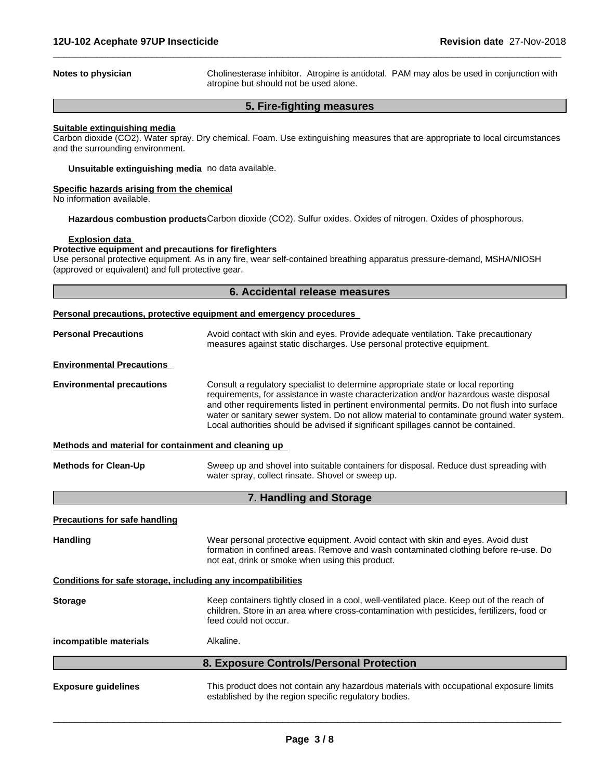**Notes to physician Cholinesterase inhibitor.** Atropine is antidotal. PAM may alos be used in conjunction with atropine but should not be used alone.

 $\overline{\phantom{a}}$  ,  $\overline{\phantom{a}}$  ,  $\overline{\phantom{a}}$  ,  $\overline{\phantom{a}}$  ,  $\overline{\phantom{a}}$  ,  $\overline{\phantom{a}}$  ,  $\overline{\phantom{a}}$  ,  $\overline{\phantom{a}}$  ,  $\overline{\phantom{a}}$  ,  $\overline{\phantom{a}}$  ,  $\overline{\phantom{a}}$  ,  $\overline{\phantom{a}}$  ,  $\overline{\phantom{a}}$  ,  $\overline{\phantom{a}}$  ,  $\overline{\phantom{a}}$  ,  $\overline{\phantom{a}}$ 

#### **5. Fire-fighting measures**

#### **Suitable extinguishing media**

Carbon dioxide (CO2). Water spray. Dry chemical. Foam. Use extinguishing measures that are appropriate to local circumstances and the surrounding environment.

**Unsuitable extinguishing media** no data available.

#### **Specific hazards arising from the chemical**

No information available.

**Hazardous combustion products**Carbon dioxide (CO2). Sulfur oxides. Oxides of nitrogen. Oxides of phosphorous.

#### **Explosion data**

#### **Protective equipment and precautions for firefighters**

Use personal protective equipment.As in any fire, wear self-contained breathing apparatus pressure-demand, MSHA/NIOSH (approved or equivalent) and full protective gear.

|                                                              | 6. Accidental release measures                                                                                                                                                                                                                                                                                                                                                                                                                               |
|--------------------------------------------------------------|--------------------------------------------------------------------------------------------------------------------------------------------------------------------------------------------------------------------------------------------------------------------------------------------------------------------------------------------------------------------------------------------------------------------------------------------------------------|
|                                                              | <b>Personal precautions, protective equipment and emergency procedures</b>                                                                                                                                                                                                                                                                                                                                                                                   |
| <b>Personal Precautions</b>                                  | Avoid contact with skin and eyes. Provide adequate ventilation. Take precautionary<br>measures against static discharges. Use personal protective equipment.                                                                                                                                                                                                                                                                                                 |
| <b>Environmental Precautions</b>                             |                                                                                                                                                                                                                                                                                                                                                                                                                                                              |
| <b>Environmental precautions</b>                             | Consult a regulatory specialist to determine appropriate state or local reporting<br>requirements, for assistance in waste characterization and/or hazardous waste disposal<br>and other requirements listed in pertinent environmental permits. Do not flush into surface<br>water or sanitary sewer system. Do not allow material to contaminate ground water system.<br>Local authorities should be advised if significant spillages cannot be contained. |
| Methods and material for containment and cleaning up         |                                                                                                                                                                                                                                                                                                                                                                                                                                                              |
| <b>Methods for Clean-Up</b>                                  | Sweep up and shovel into suitable containers for disposal. Reduce dust spreading with<br>water spray, collect rinsate. Shovel or sweep up.                                                                                                                                                                                                                                                                                                                   |
|                                                              | 7. Handling and Storage                                                                                                                                                                                                                                                                                                                                                                                                                                      |
| <b>Precautions for safe handling</b>                         |                                                                                                                                                                                                                                                                                                                                                                                                                                                              |
| <b>Handling</b>                                              | Wear personal protective equipment. Avoid contact with skin and eyes. Avoid dust<br>formation in confined areas. Remove and wash contaminated clothing before re-use. Do<br>not eat, drink or smoke when using this product.                                                                                                                                                                                                                                 |
| Conditions for safe storage, including any incompatibilities |                                                                                                                                                                                                                                                                                                                                                                                                                                                              |
| <b>Storage</b>                                               | Keep containers tightly closed in a cool, well-ventilated place. Keep out of the reach of<br>children. Store in an area where cross-contamination with pesticides, fertilizers, food or<br>feed could not occur.                                                                                                                                                                                                                                             |
| incompatible materials                                       | Alkaline.                                                                                                                                                                                                                                                                                                                                                                                                                                                    |
|                                                              | 8. Exposure Controls/Personal Protection                                                                                                                                                                                                                                                                                                                                                                                                                     |
| <b>Exposure guidelines</b>                                   | This product does not contain any hazardous materials with occupational exposure limits<br>established by the region specific regulatory bodies.                                                                                                                                                                                                                                                                                                             |
|                                                              |                                                                                                                                                                                                                                                                                                                                                                                                                                                              |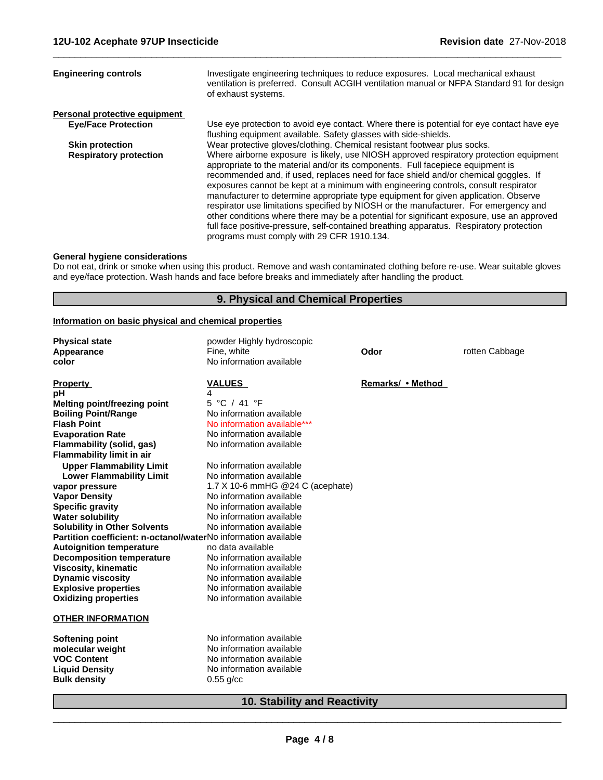| <b>Engineering controls</b>   | Investigate engineering techniques to reduce exposures. Local mechanical exhaust<br>ventilation is preferred. Consult ACGIH ventilation manual or NFPA Standard 91 for design<br>of exhaust systems.                                                                                                                                                                                                                                                                                                                                                                                                                                                                                                                                                                        |
|-------------------------------|-----------------------------------------------------------------------------------------------------------------------------------------------------------------------------------------------------------------------------------------------------------------------------------------------------------------------------------------------------------------------------------------------------------------------------------------------------------------------------------------------------------------------------------------------------------------------------------------------------------------------------------------------------------------------------------------------------------------------------------------------------------------------------|
| Personal protective equipment |                                                                                                                                                                                                                                                                                                                                                                                                                                                                                                                                                                                                                                                                                                                                                                             |
| <b>Eye/Face Protection</b>    | Use eye protection to avoid eye contact. Where there is potential for eye contact have eye<br>flushing equipment available. Safety glasses with side-shields.                                                                                                                                                                                                                                                                                                                                                                                                                                                                                                                                                                                                               |
| <b>Skin protection</b>        | Wear protective gloves/clothing. Chemical resistant footwear plus socks.                                                                                                                                                                                                                                                                                                                                                                                                                                                                                                                                                                                                                                                                                                    |
| <b>Respiratory protection</b> | Where airborne exposure is likely, use NIOSH approved respiratory protection equipment<br>appropriate to the material and/or its components. Full facepiece equipment is<br>recommended and, if used, replaces need for face shield and/or chemical goggles. If<br>exposures cannot be kept at a minimum with engineering controls, consult respirator<br>manufacturer to determine appropriate type equipment for given application. Observe<br>respirator use limitations specified by NIOSH or the manufacturer. For emergency and<br>other conditions where there may be a potential for significant exposure, use an approved<br>full face positive-pressure, self-contained breathing apparatus. Respiratory protection<br>programs must comply with 29 CFR 1910.134. |

 $\overline{\phantom{a}}$  ,  $\overline{\phantom{a}}$  ,  $\overline{\phantom{a}}$  ,  $\overline{\phantom{a}}$  ,  $\overline{\phantom{a}}$  ,  $\overline{\phantom{a}}$  ,  $\overline{\phantom{a}}$  ,  $\overline{\phantom{a}}$  ,  $\overline{\phantom{a}}$  ,  $\overline{\phantom{a}}$  ,  $\overline{\phantom{a}}$  ,  $\overline{\phantom{a}}$  ,  $\overline{\phantom{a}}$  ,  $\overline{\phantom{a}}$  ,  $\overline{\phantom{a}}$  ,  $\overline{\phantom{a}}$ 

#### **General hygiene considerations**

Do not eat, drink or smoke when using this product. Remove and wash contaminated clothing before re-use. Wear suitable gloves and eye/face protection. Wash hands and face before breaks and immediately after handling the product.

### **9. Physical and Chemical Properties**

#### **Information on basic physical and chemical properties**

| <b>Physical state</b>                                          | powder Highly hydroscopic           |                   |                |
|----------------------------------------------------------------|-------------------------------------|-------------------|----------------|
| Appearance                                                     | Fine, white                         | Odor              | rotten Cabbage |
| color                                                          | No information available            |                   |                |
| <b>Property</b>                                                | <b>VALUES</b>                       | Remarks/ • Method |                |
| рH                                                             | 4                                   |                   |                |
| <b>Melting point/freezing point</b>                            | 5 °C / 41 °F                        |                   |                |
| <b>Boiling Point/Range</b>                                     | No information available            |                   |                |
| <b>Flash Point</b>                                             | No information available***         |                   |                |
| <b>Evaporation Rate</b>                                        | No information available            |                   |                |
| Flammability (solid, gas)                                      | No information available            |                   |                |
| <b>Flammability limit in air</b>                               |                                     |                   |                |
| <b>Upper Flammability Limit</b>                                | No information available            |                   |                |
| <b>Lower Flammability Limit</b>                                | No information available            |                   |                |
| vapor pressure                                                 | 1.7 X 10-6 mmHG @24 C (acephate)    |                   |                |
| <b>Vapor Density</b>                                           | No information available            |                   |                |
| <b>Specific gravity</b>                                        | No information available            |                   |                |
| <b>Water solubility</b>                                        | No information available            |                   |                |
| <b>Solubility in Other Solvents</b>                            | No information available            |                   |                |
| Partition coefficient: n-octanol/waterNo information available |                                     |                   |                |
| <b>Autoignition temperature</b>                                | no data available                   |                   |                |
| <b>Decomposition temperature</b>                               | No information available            |                   |                |
| <b>Viscosity, kinematic</b>                                    | No information available            |                   |                |
| <b>Dynamic viscosity</b>                                       | No information available            |                   |                |
| <b>Explosive properties</b>                                    | No information available            |                   |                |
| <b>Oxidizing properties</b>                                    | No information available            |                   |                |
| <b>OTHER INFORMATION</b>                                       |                                     |                   |                |
| <b>Softening point</b>                                         | No information available            |                   |                |
| molecular weight                                               | No information available            |                   |                |
| <b>VOC Content</b>                                             | No information available            |                   |                |
| <b>Liquid Density</b>                                          | No information available            |                   |                |
| <b>Bulk density</b>                                            | $0.55$ g/cc                         |                   |                |
|                                                                | <b>10. Stability and Reactivity</b> |                   |                |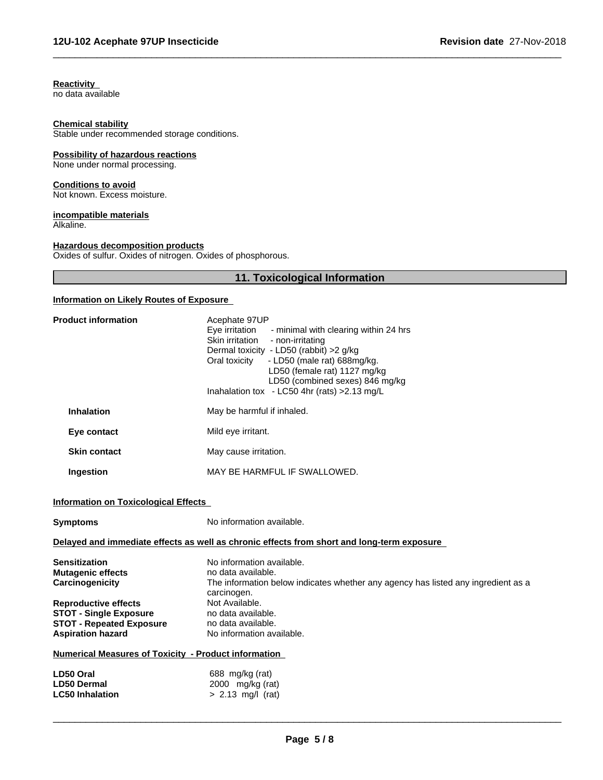#### **Reactivity**

no data available

#### **Chemical stability**

Stable under recommended storage conditions.

#### **Possibility of hazardous reactions**

None under normal processing.

#### **Conditions to avoid**

Not known. Excess moisture.

# **incompatible materials**

Alkaline.

#### **Hazardous decomposition products**

Oxides of sulfur. Oxides of nitrogen. Oxides of phosphorous.

# **11. Toxicological Information**

 $\overline{\phantom{a}}$  ,  $\overline{\phantom{a}}$  ,  $\overline{\phantom{a}}$  ,  $\overline{\phantom{a}}$  ,  $\overline{\phantom{a}}$  ,  $\overline{\phantom{a}}$  ,  $\overline{\phantom{a}}$  ,  $\overline{\phantom{a}}$  ,  $\overline{\phantom{a}}$  ,  $\overline{\phantom{a}}$  ,  $\overline{\phantom{a}}$  ,  $\overline{\phantom{a}}$  ,  $\overline{\phantom{a}}$  ,  $\overline{\phantom{a}}$  ,  $\overline{\phantom{a}}$  ,  $\overline{\phantom{a}}$ 

#### **Information on Likely Routes of Exposure**

| <b>Product information</b>                                                                                                                                                                                                                                                                                                     | Acephate 97UP<br>Eye irritation - minimal with clearing within 24 hrs<br>Skin irritation<br>- non-irritating<br>Dermal toxicity - LD50 (rabbit) >2 g/kg<br>- LD50 (male rat) 688mg/kg.<br>Oral toxicity<br>LD50 (female rat) 1127 mg/kg<br>LD50 (combined sexes) 846 mg/kg<br>Inahalation tox - LC50 4hr (rats) > 2.13 mg/L |
|--------------------------------------------------------------------------------------------------------------------------------------------------------------------------------------------------------------------------------------------------------------------------------------------------------------------------------|-----------------------------------------------------------------------------------------------------------------------------------------------------------------------------------------------------------------------------------------------------------------------------------------------------------------------------|
| <b>Inhalation</b>                                                                                                                                                                                                                                                                                                              | May be harmful if inhaled.                                                                                                                                                                                                                                                                                                  |
| Eye contact                                                                                                                                                                                                                                                                                                                    | Mild eye irritant.                                                                                                                                                                                                                                                                                                          |
| <b>Skin contact</b>                                                                                                                                                                                                                                                                                                            | May cause irritation.                                                                                                                                                                                                                                                                                                       |
| Ingestion                                                                                                                                                                                                                                                                                                                      | MAY BE HARMFUL IF SWALLOWED.                                                                                                                                                                                                                                                                                                |
| <b>Information on Toxicological Effects</b>                                                                                                                                                                                                                                                                                    |                                                                                                                                                                                                                                                                                                                             |
| <b>Symptoms</b>                                                                                                                                                                                                                                                                                                                | No information available.                                                                                                                                                                                                                                                                                                   |
|                                                                                                                                                                                                                                                                                                                                |                                                                                                                                                                                                                                                                                                                             |
|                                                                                                                                                                                                                                                                                                                                | Delayed and immediate effects as well as chronic effects from short and long-term exposure                                                                                                                                                                                                                                  |
|                                                                                                                                                                                                                                                                                                                                | No information available.<br>no data available.<br>The information below indicates whether any agency has listed any ingredient as a                                                                                                                                                                                        |
|                                                                                                                                                                                                                                                                                                                                | carcinogen.<br>Not Available.<br>no data available.<br>no data available.<br>No information available.                                                                                                                                                                                                                      |
|                                                                                                                                                                                                                                                                                                                                |                                                                                                                                                                                                                                                                                                                             |
| <b>Sensitization</b><br><b>Mutagenic effects</b><br>Carcinogenicity<br><b>Reproductive effects</b><br><b>STOT - Single Exposure</b><br><b>STOT - Repeated Exposure</b><br><b>Aspiration hazard</b><br><b>Numerical Measures of Toxicity - Product information</b><br>LD50 Oral<br><b>LD50 Dermal</b><br><b>LC50 Inhalation</b> | 688 mg/kg (rat)<br>2000 mg/kg (rat)<br>$> 2.13$ mg/l (rat)                                                                                                                                                                                                                                                                  |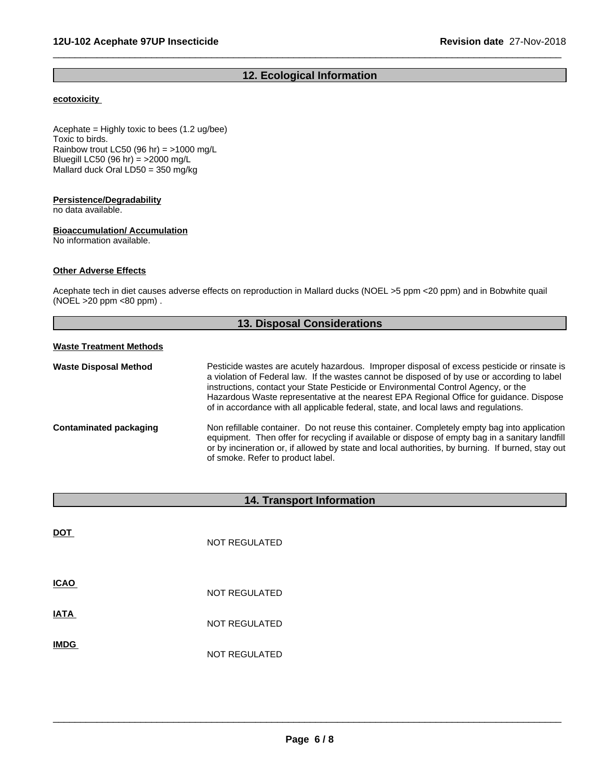# **12. Ecological Information**

 $\overline{\phantom{a}}$  ,  $\overline{\phantom{a}}$  ,  $\overline{\phantom{a}}$  ,  $\overline{\phantom{a}}$  ,  $\overline{\phantom{a}}$  ,  $\overline{\phantom{a}}$  ,  $\overline{\phantom{a}}$  ,  $\overline{\phantom{a}}$  ,  $\overline{\phantom{a}}$  ,  $\overline{\phantom{a}}$  ,  $\overline{\phantom{a}}$  ,  $\overline{\phantom{a}}$  ,  $\overline{\phantom{a}}$  ,  $\overline{\phantom{a}}$  ,  $\overline{\phantom{a}}$  ,  $\overline{\phantom{a}}$ 

#### **ecotoxicity**

Acephate = Highly toxic to bees (1.2 ug/bee) Toxic to birds. Rainbow trout LC50 (96 hr) =  $>1000$  mg/L Bluegill LC50 (96 hr) =  $>2000$  mg/L Mallard duck Oral  $LDS0 = 350$  mg/kg

#### **Persistence/Degradability**

no data available.

### **Bioaccumulation/ Accumulation**

No information available.

#### **Other Adverse Effects**

Acephate tech in diet causes adverse effects on reproduction in Mallard ducks (NOEL >5 ppm <20 ppm) and in Bobwhite quail (NOEL >20 ppm <80 ppm) .

| <b>13. Disposal Considerations</b> |                                                                                                                                                                                                                                                                                                                                                                                                                                                                      |  |
|------------------------------------|----------------------------------------------------------------------------------------------------------------------------------------------------------------------------------------------------------------------------------------------------------------------------------------------------------------------------------------------------------------------------------------------------------------------------------------------------------------------|--|
| <b>Waste Treatment Methods</b>     |                                                                                                                                                                                                                                                                                                                                                                                                                                                                      |  |
| <b>Waste Disposal Method</b>       | Pesticide wastes are acutely hazardous. Improper disposal of excess pesticide or rinsate is<br>a violation of Federal law. If the wastes cannot be disposed of by use or according to label<br>instructions, contact your State Pesticide or Environmental Control Agency, or the<br>Hazardous Waste representative at the nearest EPA Regional Office for guidance. Dispose<br>of in accordance with all applicable federal, state, and local laws and regulations. |  |
| Contaminated packaging             | Non refillable container. Do not reuse this container. Completely empty bag into application<br>equipment. Then offer for recycling if available or dispose of empty bag in a sanitary landfill<br>or by incineration or, if allowed by state and local authorities, by burning. If burned, stay out<br>of smoke. Refer to product label.                                                                                                                            |  |

# **14. Transport Information**

| <b>DOT</b>  | <b>NOT REGULATED</b> |
|-------------|----------------------|
| <b>ICAO</b> | <b>NOT REGULATED</b> |
| <b>IATA</b> | <b>NOT REGULATED</b> |
| <b>IMDG</b> | <b>NOT REGULATED</b> |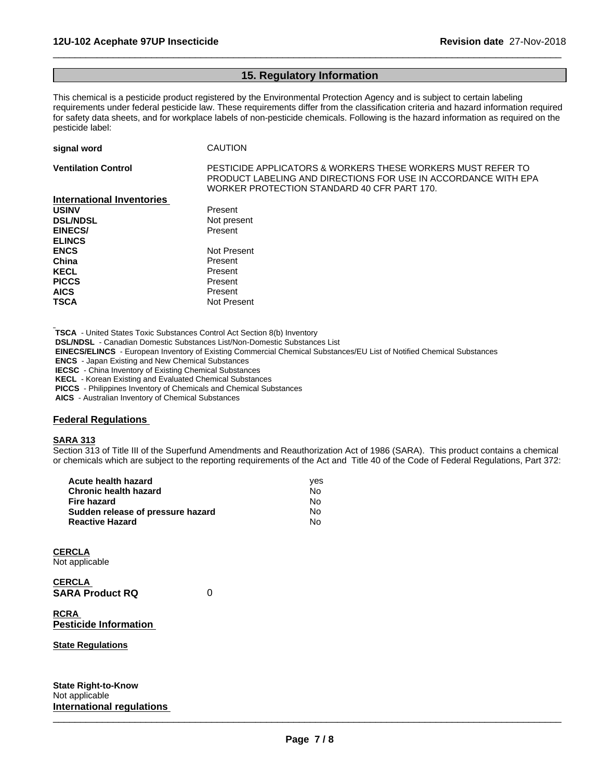### **15. Regulatory Information**

 $\overline{\phantom{a}}$  ,  $\overline{\phantom{a}}$  ,  $\overline{\phantom{a}}$  ,  $\overline{\phantom{a}}$  ,  $\overline{\phantom{a}}$  ,  $\overline{\phantom{a}}$  ,  $\overline{\phantom{a}}$  ,  $\overline{\phantom{a}}$  ,  $\overline{\phantom{a}}$  ,  $\overline{\phantom{a}}$  ,  $\overline{\phantom{a}}$  ,  $\overline{\phantom{a}}$  ,  $\overline{\phantom{a}}$  ,  $\overline{\phantom{a}}$  ,  $\overline{\phantom{a}}$  ,  $\overline{\phantom{a}}$ 

This chemical is a pesticide product registered by the Environmental Protection Agency and is subject to certain labeling requirements under federal pesticide law. These requirements differ from the classification criteria and hazard information required for safety data sheets, and for workplace labels of non-pesticide chemicals. Following is the hazard information as required on the pesticide label:

| signal word                      | <b>CAUTION</b>                                                                                                                                                               |
|----------------------------------|------------------------------------------------------------------------------------------------------------------------------------------------------------------------------|
| <b>Ventilation Control</b>       | PESTICIDE APPLICATORS & WORKERS THESE WORKERS MUST REFER TO<br>PRODUCT LABELING AND DIRECTIONS FOR USE IN ACCORDANCE WITH EPA<br>WORKER PROTECTION STANDARD 40 CFR PART 170. |
| <b>International Inventories</b> |                                                                                                                                                                              |
| <b>USINV</b>                     | Present                                                                                                                                                                      |
| <b>DSL/NDSL</b>                  | Not present                                                                                                                                                                  |
| EINECS/                          | Present                                                                                                                                                                      |
| <b>ELINCS</b>                    |                                                                                                                                                                              |
| <b>ENCS</b>                      | Not Present                                                                                                                                                                  |
| China                            | Present                                                                                                                                                                      |
| <b>KECL</b>                      | Present                                                                                                                                                                      |
| <b>PICCS</b>                     | Present                                                                                                                                                                      |
| <b>AICS</b>                      | Present                                                                                                                                                                      |
| <b>TSCA</b>                      | Not Present                                                                                                                                                                  |

 **TSCA** - United States Toxic Substances Control Act Section 8(b) Inventory

 **DSL/NDSL** - Canadian Domestic Substances List/Non-Domestic Substances List

 **EINECS/ELINCS** - European Inventory of Existing Commercial Chemical Substances/EU List of Notified Chemical Substances

 **ENCS** - Japan Existing and New Chemical Substances

 **IECSC** - China Inventory of Existing Chemical Substances

 **KECL** - Korean Existing and Evaluated Chemical Substances

 **PICCS** - Philippines Inventory of Chemicals and Chemical Substances

 **AICS** - Australian Inventory of Chemical Substances

# **Federal Regulations**

#### **SARA 313**

Section 313 of Title III of the Superfund Amendments and Reauthorization Act of 1986 (SARA). This product contains a chemical or chemicals which are subject to the reporting requirements of the Act and Title 40 of the Code of Federal Regulations, Part 372:

| Acute health hazard               | ves |  |
|-----------------------------------|-----|--|
| Chronic health hazard             | No. |  |
| Fire hazard                       | No. |  |
| Sudden release of pressure hazard | No. |  |
| <b>Reactive Hazard</b>            | N٥  |  |

**CERCLA** Not applicable

**CERCLA SARA Product RQ** 0

**RCRA Pesticide Information**

**State Regulations**